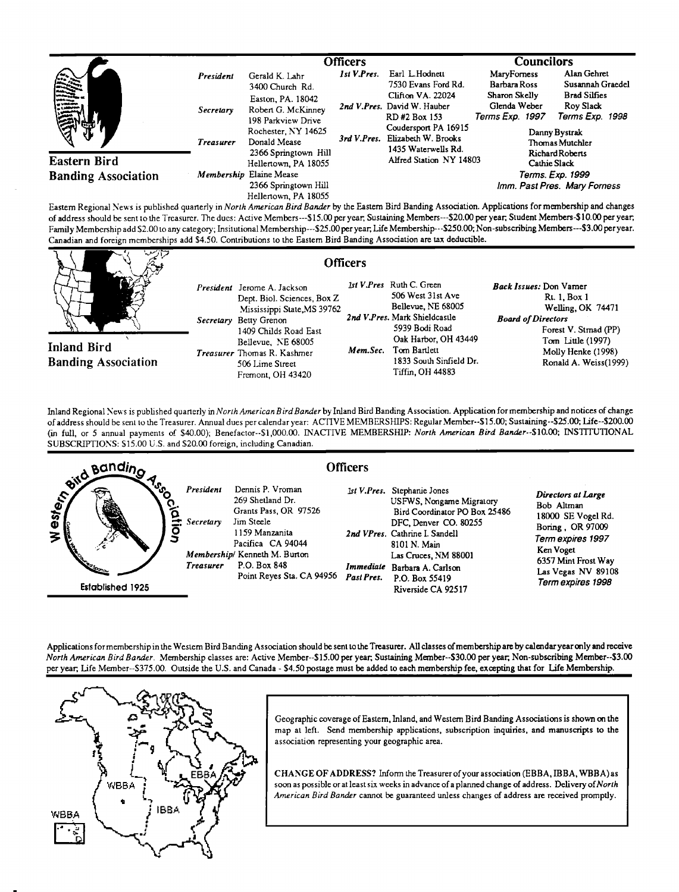|                                            |                                            | <b>Officers</b>                                                                                                                           |             | <b>Councilors</b>                                                                                                                                                                           |                                                                                            |                                                                                                                            |
|--------------------------------------------|--------------------------------------------|-------------------------------------------------------------------------------------------------------------------------------------------|-------------|---------------------------------------------------------------------------------------------------------------------------------------------------------------------------------------------|--------------------------------------------------------------------------------------------|----------------------------------------------------------------------------------------------------------------------------|
| 高                                          | President<br>Secretary<br><b>Treasurer</b> | Gerald K. Lahr<br>3400 Church Rd.<br>Easton, PA. 18042<br>Robert G. McKinney<br>198 Parkview Drive<br>Rochester, NY 14625<br>Donald Mease | 1st V.Pres. | Earl L.Hodnett<br>7530 Evans Ford Rd.<br>Clifton VA. 22024<br>2nd V.Pres. David W. Hauber<br>RD#2 Box 153<br>Coudersport PA 16915<br>3rd V.Pres. Elizabeth W. Brooks<br>1435 Waterwells Rd. | MaryForness<br>Barbara Ross<br>Sharon Skelly<br>Glenda Weber<br>Terms Exp. 1997            | Alan Gehret<br>Susannah Graedel<br><b>Brad Silfies</b><br>Roy Slack<br>Terms Exp. 1998<br>Danny Bystrak<br>Thomas Mutchler |
| Eastern Bird<br><b>Banding Association</b> |                                            | 2366 Springtown Hill<br>Hellertown, PA 18055<br>Membership Elaine Mease<br>2366 Springtown Hill<br>Hellertown, PA 18055                   |             | Alfred Station NY 14803                                                                                                                                                                     | Richard Roberts<br><b>Cathie Slack</b><br>Terms. Exp. 1999<br>Imm. Past Pres. Mary Forness |                                                                                                                            |

**Eastern Regional News is publ/shed quarterly inNorth American Bird Bander by the Eastern Bird Banding Association, Applications formembership and changes of address should be sent to the Treasurer. The dues: Active Members---\$15.00 peryear, Sustaining Members--S20.00 per year, Student Members-\$10.00 peryear,**  Family Membership add \$2.00 to any category; Insitutional Membership---\$25.00 per year, Life Membership---\$250.00; Non-subscribing Members---\$3.00 per year. **Canadian and foreign memberships add \$4.50. Contributions tothe Eastern Bird Banding Association are tax deductible.** 

| يستع وسسعيها                                     |                                                                                                                                                                                                                                                                                                                                                                                                                              | <b>Officers</b>                                                                                                                                                                                                        |                                                                                                                                                                                              |
|--------------------------------------------------|------------------------------------------------------------------------------------------------------------------------------------------------------------------------------------------------------------------------------------------------------------------------------------------------------------------------------------------------------------------------------------------------------------------------------|------------------------------------------------------------------------------------------------------------------------------------------------------------------------------------------------------------------------|----------------------------------------------------------------------------------------------------------------------------------------------------------------------------------------------|
| <b>Inland Bird</b><br><b>Banding Association</b> | President Jerome A. Jackson<br>Dept. Biol. Sciences, Box Z.<br>Mississippi State, MS 39762<br>Secretary Betty Grenon<br>1409 Childs Road East<br>Bellevue. NE 68005<br><b>Treasurer</b> Thomas R. Kashmer<br>506 Lime Street<br>Fremont, OH 43420                                                                                                                                                                            | 1st V.Pres Ruth C. Green<br>506 West 31st Ave<br>Bellevue, NE 68005<br>2nd V.Pres. Mark Shieldcastle<br>5939 Bodi Road<br>Oak Harbor, OH 43449<br>Mem.Sec. Tom Bartlett<br>1833 South Sinfield Dr.<br>Tiffin, OH 44883 | <b>Back Issues: Don Varner</b><br>Rt. 1. Box 1<br>Welling, OK 74471<br><b>Board of Directors</b><br>Forest V. Stmad (PP)<br>Tom Little (1997)<br>Molly Henke (1998)<br>Ronald A. Weiss(1999) |
|                                                  | $\mathbf{r} = \mathbf{r} = \mathbf{r} = \mathbf{r} = \mathbf{r} = \mathbf{r} = \mathbf{r} = \mathbf{r} = \mathbf{r} = \mathbf{r} = \mathbf{r} = \mathbf{r} = \mathbf{r} = \mathbf{r} = \mathbf{r} = \mathbf{r} = \mathbf{r} = \mathbf{r} = \mathbf{r} = \mathbf{r} = \mathbf{r} = \mathbf{r} = \mathbf{r} = \mathbf{r} = \mathbf{r} = \mathbf{r} = \mathbf{r} = \mathbf{r} = \mathbf{r} = \mathbf{r} = \mathbf{r} = \mathbf$ |                                                                                                                                                                                                                        |                                                                                                                                                                                              |

Inland Regional News is published quarterly in North American Bird Bander by Inland Bird Banding Association. Application for membership and notices **of addresshould be sent to the Treasurer. Annual dues per calendar year: ACTIVE MEMBERSI-LIPS: Regular Member--S15.00; Sustaining--S25.00; Life--S200.00**  (in full, or 5 annual payments of \$40.00); Benefactor--\$1,000.00. INACTIVE MEMBERSHIP: North American Bird Bander--\$10.00; INSTITUTIONAL **SUBSCRIPTIONS: \$15.00 U.S. and \$20.00 foreign, including Canadian.** 



**Applications for membershipin the Westem Bird Banding Association should be sent to the Treasurer. All classes ofmembership are by calendar year only and receive North American Bird Bander. Membership classes are: Active Member--\$15.00 per year, Sustaining Member--S30.00 per year, Non-subscribing Member--S3.00 per year, Life Member--S375.00. Outside the U.S. and Canada - \$4,50 postage must be added to each membership fee, excepting that for Life Membership.** 



**Geographic coverage ofEastern, Inland, and Western Bird Banding Associations is shown on the map at left. Send membership applications, subscription inquiries, and manuscripts tothe association representing your geographic area.** 

**CHANGE OF ADDRESS? Inform the Treasurer of your assodation (EBBA, IB BA, WBBA) as soon as possible or at least six weeks in advance of a planned change of address. Delivery of North**  American Bird Bander cannot be guaranteed unless changes of address are received promptly.